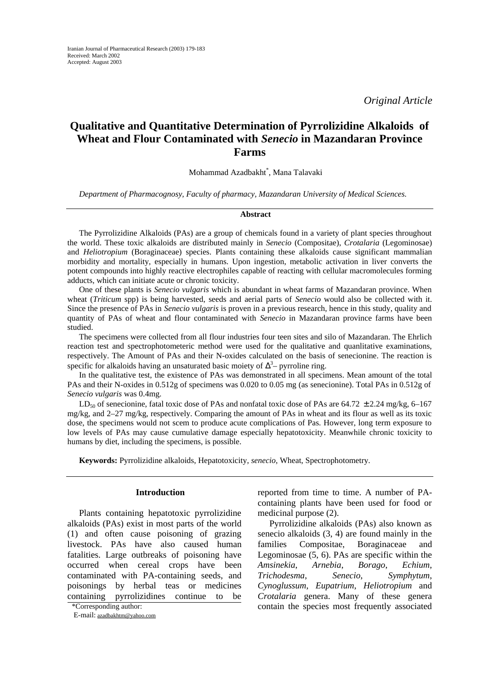*Original Article* 

# **Qualitative and Quantitative Determination of Pyrrolizidine Alkaloids of Wheat and Flour Contaminated with** *Senecio* **in Mazandaran Province Farms**

Mohammad Azadbakht\* , Mana Talavaki

*Department of Pharmacognosy, Faculty of pharmacy, Mazandaran University of Medical Sciences.* 

#### **Abstract**

The Pyrrolizidine Alkaloids (PAs) are a group of chemicals found in a variety of plant species throughout the world. These toxic alkaloids are distributed mainly in *Senecio* (Compositae), *Crotalaria* (Legominosae) and *Heliotropium* (Boraginaceae) species. Plants containing these alkaloids cause significant mammalian morbidity and mortality, especially in humans. Upon ingestion, metabolic activation in liver converts the potent compounds into highly reactive electrophiles capable of reacting with cellular macromolecules forming adducts, which can initiate acute or chronic toxicity.

One of these plants is *Senecio vulgaris* which is abundant in wheat farms of Mazandaran province. When wheat (*Triticum* spp) is being harvested, seeds and aerial parts of *Senecio* would also be collected with it. Since the presence of PAs in *Senecio vulgaris* is proven in a previous research, hence in this study, quality and quantity of PAs of wheat and flour contaminated with *Senecio* in Mazandaran province farms have been studied.

The specimens were collected from all flour industries four teen sites and silo of Mazandaran. The Ehrlich reaction test and spectrophotometeric method were used for the qualitative and quanlitative examinations, respectively. The Amount of PAs and their N-oxides calculated on the basis of senecionine. The reaction is specific for alkaloids having an unsaturated basic moiety of  $\Delta^3$ – pyrroline ring.

In the qualitative test, the existence of PAs was demonstrated in all specimens. Mean amount of the total PAs and their N-oxides in 0.512g of specimens was 0.020 to 0.05 mg (as senecionine). Total PAs in 0.512g of *Senecio vulgaris* was 0.4mg.

LD<sub>50</sub> of senecionine, fatal toxic dose of PAs and nonfatal toxic dose of PAs are 64.72  $\pm$  2.24 mg/kg, 6–167 mg/kg, and 2–27 mg/kg, respectively. Comparing the amount of PAs in wheat and its flour as well as its toxic dose, the specimens would not scem to produce acute complications of Pas. However, long term exposure to low levels of PAs may cause cumulative damage especially hepatotoxicity. Meanwhile chronic toxicity to humans by diet, including the specimens, is possible.

**Keywords:** Pyrrolizidine alkaloids, Hepatotoxicity, *senecio*, Wheat, Spectrophotometry.

## **Introduction**

Plants containing hepatotoxic pyrrolizidine alkaloids (PAs) exist in most parts of the world (1) and often cause poisoning of grazing livestock. PAs have also caused human fatalities. Large outbreaks of poisoning have occurred when cereal crops have been contaminated with PA-containing seeds, and poisonings by herbal teas or medicines containing pyrrolizidines continue to be reported from time to time. A number of PAcontaining plants have been used for food or medicinal purpose (2).

Pyrrolizidine alkaloids (PAs) also known as senecio alkaloids (3, 4) are found mainly in the families Compositae, Boraginaceae and Legominosae (5, 6). PAs are specific within the *Amsinekia*, *Arnebia*, *Borago*, *Echium*, *Trichodesma*, *Senecio*, *Symphytum*, *Cynoglussum*, *Eupatrium*, *Heliotropium* and *Crotalaria* genera. Many of these genera \*Corresponding author: contain the species most frequently associated

E-mail: [azadbakhtm@yahoo.com](mailto:azadbakhtm@yahoo.com)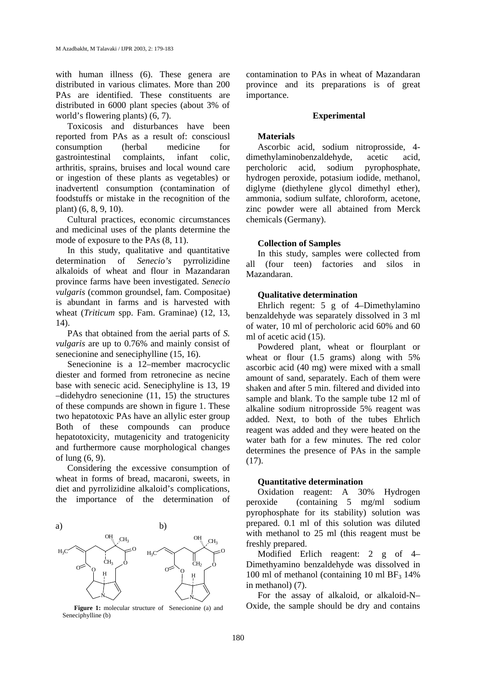with human illness (6). These genera are distributed in various climates. More than 200 PAs are identified. These constituents are distributed in 6000 plant species (about 3% of world's flowering plants) (6, 7).

Toxicosis and disturbances have been reported from PAs as a result of: consciousl consumption (herbal medicine for gastrointestinal complaints, infant colic, arthritis, sprains, bruises and local wound care or ingestion of these plants as vegetables) or inadvertentl consumption (contamination of foodstuffs or mistake in the recognition of the plant) (6, 8, 9, 10).

Cultural practices, economic circumstances and medicinal uses of the plants determine the mode of exposure to the PAs (8, 11).

In this study, qualitative and quantitative determination of *Senecio's* pyrrolizidine alkaloids of wheat and flour in Mazandaran province farms have been investigated. *Senecio vulgaris* (common groundsel, fam. Compositae) is abundant in farms and is harvested with wheat (*Triticum* spp. Fam. Graminae) (12, 13, 14).

PAs that obtained from the aerial parts of *S. vulgaris* are up to 0.76% and mainly consist of senecionine and seneciphylline (15, 16).

Senecionine is a 12–member macrocyclic diester and formed from retronecine as necine base with senecic acid. Seneciphyline is 13, 19 –didehydro senecionine (11, 15) the structures of these compunds are shown in figure 1. These two hepatotoxic PAs have an allylic ester group Both of these compounds can produce hepatotoxicity, mutagenicity and tratogenicity and furthermore cause morphological changes of lung (6, 9).

Considering the excessive consumption of wheat in forms of bread, macaroni, sweets, in diet and pyrrolizidine alkaloid's complications, the importance of the determination of



**Figure 1:** molecular structure of Senecionine (a) and Seneciphylline (b)

contamination to PAs in wheat of Mazandaran province and its preparations is of great importance.

#### **Experimental**

# **Materials**

Ascorbic acid, sodium nitroprosside, 4 dimethylaminobenzaldehyde, acetic acid, percholoric acid, sodium pyrophosphate, hydrogen peroxide, potasium iodide, methanol, diglyme (diethylene glycol dimethyl ether), ammonia, sodium sulfate, chloroform, acetone, zinc powder were all abtained from Merck chemicals (Germany).

### **Collection of Samples**

In this study, samples were collected from (four teen) factories and silos in Mazandaran.

#### **Qualitative determination**

Ehrlich regent: 5 g of 4–Dimethylamino benzaldehyde was separately dissolved in 3 ml of water, 10 ml of percholoric acid 60% and 60 ml of acetic acid (15).

Powdered plant, wheat or flourplant or wheat or flour (1.5 grams) along with 5% ascorbic acid (40 mg) were mixed with a small amount of sand, separately. Each of them were shaken and after 5 min. filtered and divided into sample and blank. To the sample tube 12 ml of alkaline sodium nitroprosside 5% reagent was added. Next, to both of the tubes Ehrlich reagent was added and they were heated on the water bath for a few minutes. The red color determines the presence of PAs in the sample  $(17)$ .

#### **Quantitative determination**

Oxidation reagent: A 30% Hydrogen peroxide (containing 5 mg/ml sodium pyrophosphate for its stability) solution was prepared. 0.1 ml of this solution was diluted with methanol to 25 ml (this reagent must be freshly prepared.

Modified Erlich reagent: 2 g of 4– Dimethyamino benzaldehyde was dissolved in 100 ml of methanol (containing 10 ml  $BF<sub>3</sub>$  14%) in methanol) (7).

For the assay of alkaloid, or alkaloid-N– Oxide, the sample should be dry and contains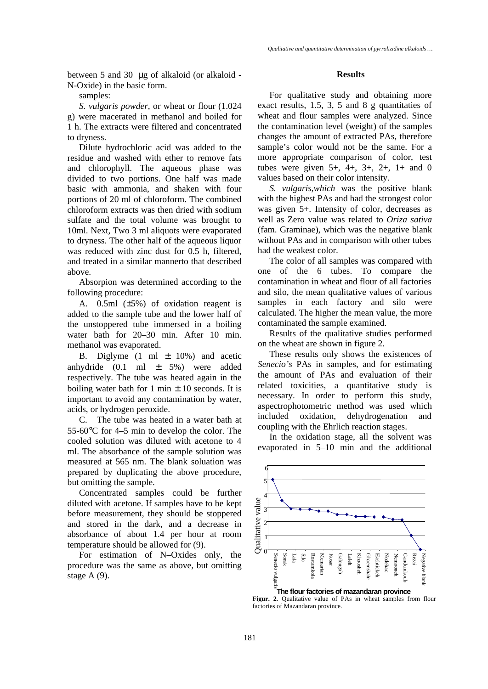between 5 and 30 μg of alkaloid (or alkaloid - N-Oxide) in the basic form.

samples:

*S. vulgaris powder,* or wheat or flour (1.024 g) were macerated in methanol and boiled for 1 h. The extracts were filtered and concentrated to dryness.

Dilute hydrochloric acid was added to the residue and washed with ether to remove fats and chlorophyll. The aqueous phase was divided to two portions. One half was made basic with ammonia, and shaken with four portions of 20 ml of chloroform. The combined chloroform extracts was then dried with sodium sulfate and the total volume was brought to 10ml. Next, Two 3 ml aliquots were evaporated to dryness. The other half of the aqueous liquor was reduced with zinc dust for 0.5 h, filtered, and treated in a similar mannerto that described above.

Absorpion was determined according to the following procedure:

A. 0.5ml (±5%) of oxidation reagent is added to the sample tube and the lower half of the unstoppered tube immersed in a boiling water bath for 20–30 min. After 10 min. methanol was evaporated.

B. Diglyme  $(1 \text{ ml } \pm 10\%)$  and acetic anhydride  $(0.1 \text{ ml } \pm 5\%)$  were added respectively. The tube was heated again in the boiling water bath for 1 min  $\pm$  10 seconds. It is important to avoid any contamination by water, acids, or hydrogen peroxide.

C. The tube was heated in a water bath at 55-60°C for 4–5 min to develop the color. The cooled solution was diluted with acetone to 4 ml. The absorbance of the sample solution was measured at 565 nm. The blank soluation was prepared by duplicating the above procedure, but omitting the sample.

Concentrated samples could be further diluted with acetone. If samples have to be kept before measurement, they should be stoppered and stored in the dark, and a decrease in absorbance of about 1.4 per hour at room temperature should be allowed for (9).

For estimation of N–Oxides only, the procedure was the same as above, but omitting stage A (9).

#### **Results**

For qualitative study and obtaining more exact results, 1.5, 3, 5 and 8 g quantitaties of wheat and flour samples were analyzed. Since the contamination level (weight) of the samples changes the amount of extracted PAs, therefore sample's color would not be the same. For a more appropriate comparison of color, test tubes were given  $5+, 4+, 3+, 2+, 1+$  and 0 values based on their color intensity.

*S. vulgaris,which* was the positive blank with the highest PAs and had the strongest color was given 5+. Intensity of color, decreases as well as Zero value was related to *Oriza sativa* (fam. Graminae), which was the negative blank without PAs and in comparison with other tubes had the weakest color.

The color of all samples was compared with one of the 6 tubes. To compare the contamination in wheat and flour of all factories and silo, the mean qualitative values of various samples in each factory and silo were calculated. The higher the mean value, the more contaminated the sample examined.

Results of the qualitative studies performed on the wheat are shown in figure 2.

These results only shows the existences of *Senecio's* PAs in samples, and for estimating the amount of PAs and evaluation of their related toxicities, a quantitative study is necessary. In order to perform this study, aspectrophotometric method was used which included oxidation, dehydrogenation and coupling with the Ehrlich reaction stages.

In the oxidation stage, all the solvent was evaporated in 5–10 min and the additional



**Figur. 2**. Qualitative value of PAs in wheat samples from flour factories of Mazandaran province.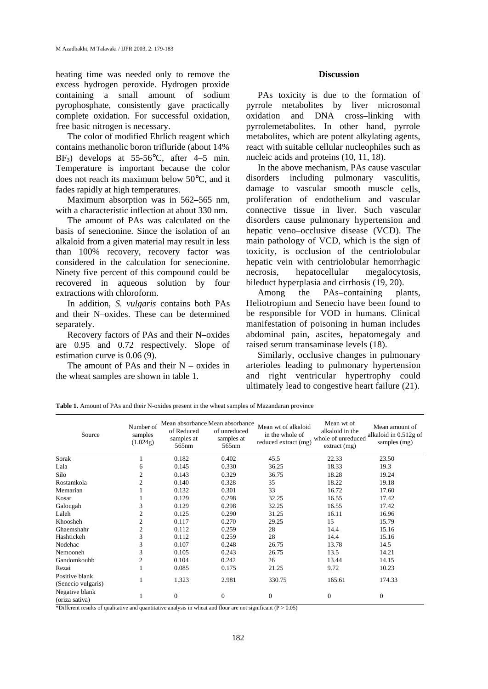heating time was needed only to remove the excess hydrogen peroxide. Hydrogen proxide containing a small amount of sodium pyrophosphate, consistently gave practically complete oxidation. For successful oxidation, free basic nitrogen is necessary.

The color of modified Ehrlich reagent which contains methanolic boron trifluride (about 14%  $BF_3$ ) develops at 55-56°C, after 4–5 min. Temperature is important because the color does not reach its maximum below 50°C, and it fades rapidly at high temperatures.

Maximum absorption was in 562–565 nm, with a characteristic inflection at about 330 nm.

The amount of PAs was calculated on the basis of senecionine. Since the isolation of an alkaloid from a given material may result in less than 100% recovery, recovery factor was considered in the calculation for senecionine. Ninety five percent of this compound could be recovered in aqueous solution by four extractions with chloroform.

In addition, *S. vulgaris* contains both PAs and their N–oxides. These can be determined separately.

Recovery factors of PAs and their N–oxides are 0.95 and 0.72 respectively. Slope of estimation curve is 0.06 (9).

The amount of PAs and their  $N -$  oxides in the wheat samples are shown in table 1.

# **Discussion**

PAs toxicity is due to the formation of pyrrole metabolites by liver microsomal oxidation and DNA cross–linking with pyrrolemetabolites. In other hand, pyrrole metabolites, which are potent alkylating agents, react with suitable cellular nucleophiles such as nucleic acids and proteins (10, 11, 18).

In the above mechanism, PAs cause vascular disorders including pulmonary vasculitis, damage to vascular smooth muscle cells, proliferation of endothelium and vascular connective tissue in liver. Such vascular disorders cause pulmonary hypertension and hepatic veno–occlusive disease (VCD). The main pathology of VCD, which is the sign of toxicity, is occlusion of the centriolobular hepatic vein with centriolobular hemorrhagic necrosis, hepatocellular megalocytosis, bileduct hyperplasia and cirrhosis (19, 20).

Among the PAs–containing plants, Heliotropium and Senecio have been found to be responsible for VOD in humans. Clinical manifestation of poisoning in human includes abdominal pain, ascites, hepatomegaly and raised serum transaminase levels (18).

Similarly, occlusive changes in pulmonary arterioles leading to pulmonary hypertension and right ventricular hypertrophy could ultimately lead to congestive heart failure (21).

Table 1. Amount of PAs and their N-oxides present in the wheat samples of Mazandaran province

| Source                               | Number of<br>$\ensuremath{\textit{samples}}$<br>(1.024g) | of Reduced<br>samples at<br>565 <sub>nm</sub> | Mean absorbance Mean absorbance<br>of unreduced<br>samples at<br>565nm | Mean wt of alkaloid<br>in the whole of<br>reduced extract (mg) | Mean wt of<br>alkaloid in the<br>whole of unreduced<br>$ext{exact}(mg)$ | Mean amount of<br>alkaloid in 0.512g of<br>samples (mg) |
|--------------------------------------|----------------------------------------------------------|-----------------------------------------------|------------------------------------------------------------------------|----------------------------------------------------------------|-------------------------------------------------------------------------|---------------------------------------------------------|
| Sorak                                |                                                          | 0.182                                         | 0.402                                                                  | 45.5                                                           | 22.33                                                                   | 23.50                                                   |
| Lala                                 | 6                                                        | 0.145                                         | 0.330                                                                  | 36.25                                                          | 18.33                                                                   | 19.3                                                    |
| Silo                                 | 2                                                        | 0.143                                         | 0.329                                                                  | 36.75                                                          | 18.28                                                                   | 19.24                                                   |
| Rostamkola                           | 2                                                        | 0.140                                         | 0.328                                                                  | 35                                                             | 18.22                                                                   | 19.18                                                   |
| Memarian                             |                                                          | 0.132                                         | 0.301                                                                  | 33                                                             | 16.72                                                                   | 17.60                                                   |
| Kosar                                |                                                          | 0.129                                         | 0.298                                                                  | 32.25                                                          | 16.55                                                                   | 17.42                                                   |
| Galougah                             | 3                                                        | 0.129                                         | 0.298                                                                  | 32.25                                                          | 16.55                                                                   | 17.42                                                   |
| Laleh                                | 2                                                        | 0.125                                         | 0.290                                                                  | 31.25                                                          | 16.11                                                                   | 16.96                                                   |
| Khoosheh                             | 2                                                        | 0.117                                         | 0.270                                                                  | 29.25                                                          | 15                                                                      | 15.79                                                   |
| Ghaemshahr                           | 2                                                        | 0.112                                         | 0.259                                                                  | 28                                                             | 14.4                                                                    | 15.16                                                   |
| Hashtickeh                           | 3                                                        | 0.112                                         | 0.259                                                                  | 28                                                             | 14.4                                                                    | 15.16                                                   |
| Nodehac                              | 3                                                        | 0.107                                         | 0.248                                                                  | 26.75                                                          | 13.78                                                                   | 14.5                                                    |
| Nemooneh                             | 3                                                        | 0.105                                         | 0.243                                                                  | 26.75                                                          | 13.5                                                                    | 14.21                                                   |
| Gandomkouhb                          | 2                                                        | 0.104                                         | 0.242                                                                  | 26                                                             | 13.44                                                                   | 14.15                                                   |
| Rezai                                |                                                          | 0.085                                         | 0.175                                                                  | 21.25                                                          | 9.72                                                                    | 10.23                                                   |
| Positive blank<br>(Senecio vulgaris) |                                                          | 1.323                                         | 2.981                                                                  | 330.75                                                         | 165.61                                                                  | 174.33                                                  |
| Negative blank<br>(oriza sativa)     |                                                          | $\boldsymbol{0}$                              | $\mathbf{0}$                                                           | $\overline{0}$                                                 | $\overline{0}$                                                          | $\overline{0}$                                          |

\*Different results of qualitative and quantitative analysis in wheat and flour are not significant ( $P > 0.05$ )